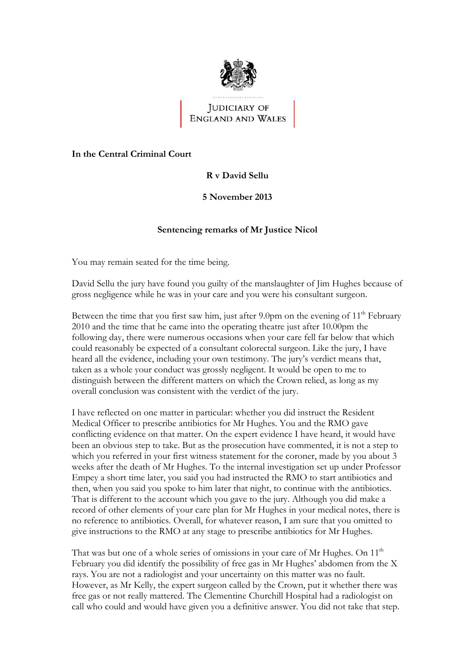

# **JUDICIARY OF** ENGLAND AND WALES

#### **In the Central Criminal Court**

## **R v David Sellu**

### **5 November 2013**

#### **Sentencing remarks of Mr Justice Nicol**

You may remain seated for the time being.

David Sellu the jury have found you guilty of the manslaughter of Jim Hughes because of gross negligence while he was in your care and you were his consultant surgeon.

Between the time that you first saw him, just after 9.0pm on the evening of  $11<sup>th</sup>$  February 2010 and the time that he came into the operating theatre just after 10.00pm the following day, there were numerous occasions when your care fell far below that which could reasonably be expected of a consultant colorectal surgeon. Like the jury, I have heard all the evidence, including your own testimony. The jury's verdict means that, taken as a whole your conduct was grossly negligent. It would be open to me to distinguish between the different matters on which the Crown relied, as long as my overall conclusion was consistent with the verdict of the jury.

I have reflected on one matter in particular: whether you did instruct the Resident Medical Officer to prescribe antibiotics for Mr Hughes. You and the RMO gave conflicting evidence on that matter. On the expert evidence I have heard, it would have been an obvious step to take. But as the prosecution have commented, it is not a step to which you referred in your first witness statement for the coroner, made by you about 3 weeks after the death of Mr Hughes. To the internal investigation set up under Professor Empey a short time later, you said you had instructed the RMO to start antibiotics and then, when you said you spoke to him later that night, to continue with the antibiotics. That is different to the account which you gave to the jury. Although you did make a record of other elements of your care plan for Mr Hughes in your medical notes, there is no reference to antibiotics. Overall, for whatever reason, I am sure that you omitted to give instructions to the RMO at any stage to prescribe antibiotics for Mr Hughes.

That was but one of a whole series of omissions in your care of Mr Hughes. On  $11<sup>th</sup>$ February you did identify the possibility of free gas in Mr Hughes' abdomen from the X rays. You are not a radiologist and your uncertainty on this matter was no fault. However, as Mr Kelly, the expert surgeon called by the Crown, put it whether there was free gas or not really mattered. The Clementine Churchill Hospital had a radiologist on call who could and would have given you a definitive answer. You did not take that step.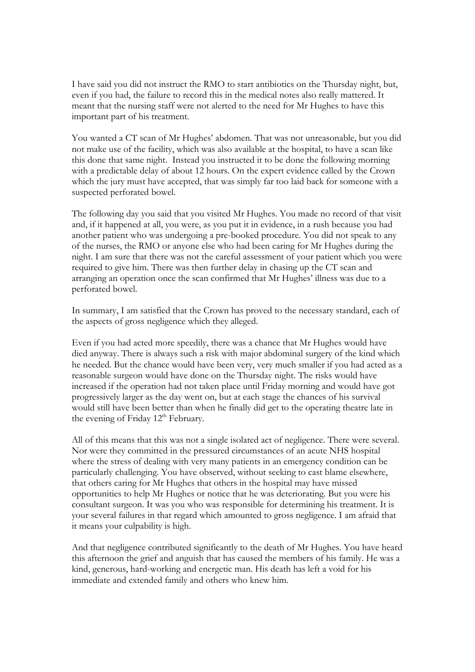I have said you did not instruct the RMO to start antibiotics on the Thursday night, but, even if you had, the failure to record this in the medical notes also really mattered. It meant that the nursing staff were not alerted to the need for Mr Hughes to have this important part of his treatment.

You wanted a CT scan of Mr Hughes' abdomen. That was not unreasonable, but you did not make use of the facility, which was also available at the hospital, to have a scan like this done that same night. Instead you instructed it to be done the following morning with a predictable delay of about 12 hours. On the expert evidence called by the Crown which the jury must have accepted, that was simply far too laid back for someone with a suspected perforated bowel.

The following day you said that you visited Mr Hughes. You made no record of that visit and, if it happened at all, you were, as you put it in evidence, in a rush because you had another patient who was undergoing a pre-booked procedure. You did not speak to any of the nurses, the RMO or anyone else who had been caring for Mr Hughes during the night. I am sure that there was not the careful assessment of your patient which you were required to give him. There was then further delay in chasing up the CT scan and arranging an operation once the scan confirmed that Mr Hughes' illness was due to a perforated bowel.

In summary, I am satisfied that the Crown has proved to the necessary standard, each of the aspects of gross negligence which they alleged.

Even if you had acted more speedily, there was a chance that Mr Hughes would have died anyway. There is always such a risk with major abdominal surgery of the kind which he needed. But the chance would have been very, very much smaller if you had acted as a reasonable surgeon would have done on the Thursday night. The risks would have increased if the operation had not taken place until Friday morning and would have got progressively larger as the day went on, but at each stage the chances of his survival would still have been better than when he finally did get to the operating theatre late in the evening of Friday  $12<sup>th</sup>$  February.

All of this means that this was not a single isolated act of negligence. There were several. Nor were they committed in the pressured circumstances of an acute NHS hospital where the stress of dealing with very many patients in an emergency condition can be particularly challenging. You have observed, without seeking to cast blame elsewhere, that others caring for Mr Hughes that others in the hospital may have missed opportunities to help Mr Hughes or notice that he was deteriorating. But you were his consultant surgeon. It was you who was responsible for determining his treatment. It is your several failures in that regard which amounted to gross negligence. I am afraid that it means your culpability is high.

And that negligence contributed significantly to the death of Mr Hughes. You have heard this afternoon the grief and anguish that has caused the members of his family. He was a kind, generous, hard-working and energetic man. His death has left a void for his immediate and extended family and others who knew him.